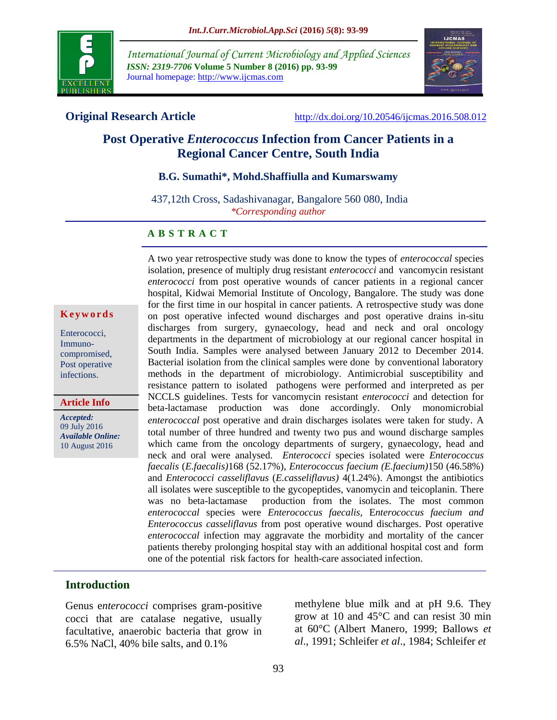

*International Journal of Current Microbiology and Applied Sciences ISSN: 2319-7706* **Volume 5 Number 8 (2016) pp. 93-99** Journal homepage: http://www.ijcmas.com



**Original Research Article** <http://dx.doi.org/10.20546/ijcmas.2016.508.012>

# **Post Operative** *Enterococcus* **Infection from Cancer Patients in a Regional Cancer Centre, South India**

#### **B.G. Sumathi\*, Mohd.Shaffiulla and Kumarswamy**

437,12th Cross, Sadashivanagar, Bangalore 560 080, India *\*Corresponding author*

#### **A B S T R A C T**

#### **K e y w o r d s**

Enterococci, Immunocompromised, Post operative infections.

**Article Info**

*Accepted:*  09 July 2016 *Available Online:* 10 August 2016

A two year retrospective study was done to know the types of *enterococcal* species isolation, presence of multiply drug resistant *enterococci* and vancomycin resistant *enterococci* from post operative wounds of cancer patients in a regional cancer hospital, Kidwai Memorial Institute of Oncology, Bangalore. The study was done for the first time in our hospital in cancer patients. A retrospective study was done on post operative infected wound discharges and post operative drains in-situ discharges from surgery, gynaecology, head and neck and oral oncology departments in the department of microbiology at our regional cancer hospital in South India. Samples were analysed between January 2012 to December 2014. Bacterial isolation from the clinical samples were done by conventional laboratory methods in the department of microbiology. Antimicrobial susceptibility and resistance pattern to isolated pathogens were performed and interpreted as per NCCLS guidelines. Tests for vancomycin resistant *enterococci* and detection for beta-lactamase production was done accordingly. Only monomicrobial *enterococcal* post operative and drain discharges isolates were taken for study. A total number of three hundred and twenty two pus and wound discharge samples which came from the oncology departments of surgery, gynaecology, head and neck and oral were analysed. *Enterococci* species isolated were *Enterococcus faecalis* (*E.faecalis)*168 (52.17%), *Enterococcus faecium (E.faecium)*150 (46.58%) and *Enterococci casseliflavus* (*E.casseliflavus)* 4(1.24%). Amongst the antibiotics all isolates were susceptible to the gycopeptides, vanomycin and teicoplanin. There was no beta-lactamase production from the isolates. The most common *enterococcal* species were *Enterococcus faecalis*, E*nterococcus faecium and Enterococcus casseliflavus* from post operative wound discharges. Post operative *enterococcal* infection may aggravate the morbidity and mortality of the cancer patients thereby prolonging hospital stay with an additional hospital cost and form one of the potential risk factors for health-care associated infection.

#### **Introduction**

Genus e*nterococci* comprises gram-positive cocci that are catalase negative, usually facultative, anaerobic bacteria that grow in 6.5% NaCl, 40% bile salts, and 0.1%

methylene blue milk and at pH 9.6. They grow at 10 and 45°C and can resist 30 min at 60°C (Albert Manero, 1999; Ballows *et al*., 1991; Schleifer *et al*., 1984; Schleifer *et*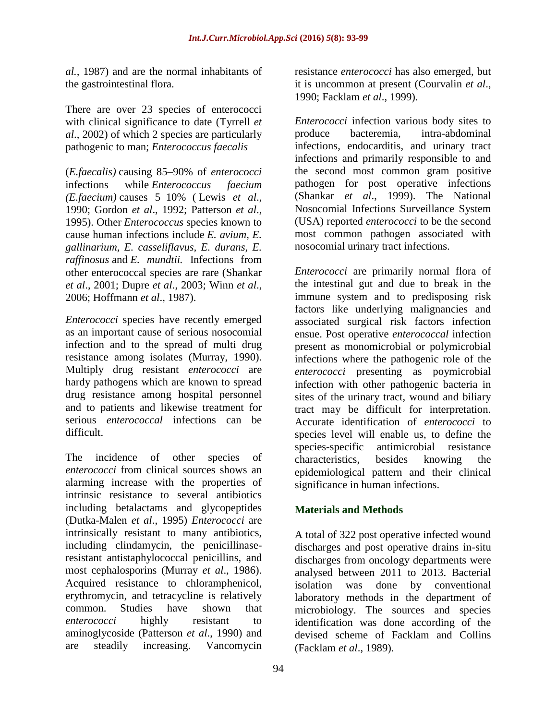*al.,* 1987) and are the normal inhabitants of the gastrointestinal flora.

There are over 23 species of enterococci with clinical significance to date (Tyrrell *et al*., 2002) of which 2 species are particularly pathogenic to man; *Enterococcus faecalis*

(*E.faecalis)* causing 85–90% of *enterococci* infections while *Enterococcus faecium (E.faecium)* causes 5–10% ( Lewis *et al*., 1990; Gordon *et al*., 1992; Patterson *et al*., 1995). Other *Enterococcus* species known to cause human infections include *E. avium, E. gallinarium, E. casseliflavus, E. durans, E. raffinosus* and *E. mundtii.* Infections from other enterococcal species are rare (Shankar *et al*., 2001; Dupre *et al*., 2003; Winn *et al*., 2006; Hoffmann *et al*., 1987).

*Enterococci* species have recently emerged as an important cause of serious nosocomial infection and to the spread of multi drug resistance among isolates (Murray, 1990). Multiply drug resistant *enterococci* are hardy pathogens which are known to spread drug resistance among hospital personnel and to patients and likewise treatment for serious *enterococcal* infections can be difficult.

The incidence of other species of *enterococci* from clinical sources shows an alarming increase with the properties of intrinsic resistance to several antibiotics including betalactams and glycopeptides (Dutka-Malen *et al*., 1995) *Enterococci* are intrinsically resistant to many antibiotics, including clindamycin, the penicillinaseresistant antistaphylococcal penicillins, and most cephalosporins (Murray *et al*., 1986). Acquired resistance to chloramphenicol, erythromycin, and tetracycline is relatively common. Studies have shown that *enterococci* highly resistant to aminoglycoside (Patterson *et al*., 1990) and are steadily increasing. Vancomycin

resistance *enterococci* has also emerged, but it is uncommon at present (Courvalin *et al*., 1990; Facklam *et al*., 1999).

*Enterococci* infection various body sites to produce bacteremia, intra-abdominal infections, endocarditis, and urinary tract infections and primarily responsible to and the second most common gram positive pathogen for post operative infections (Shankar *et al*., 1999). The National Nosocomial Infections Surveillance System (USA) reported *enterococci* to be the second most common pathogen associated with nosocomial urinary tract infections.

*Enterococci* are primarily normal flora of the intestinal gut and due to break in the immune system and to predisposing risk factors like underlying malignancies and associated surgical risk factors infection ensue. Post operative *enterococcal* infection present as monomicrobial or polymicrobial infections where the pathogenic role of the *enterococci* presenting as poymicrobial infection with other pathogenic bacteria in sites of the urinary tract, wound and biliary tract may be difficult for interpretation. Accurate identification of *enterococci* to species level will enable us, to define the species-specific antimicrobial resistance characteristics, besides knowing the epidemiological pattern and their clinical significance in human infections.

## **Materials and Methods**

A total of 322 post operative infected wound discharges and post operative drains in-situ discharges from oncology departments were analysed between 2011 to 2013. Bacterial isolation was done by conventional laboratory methods in the department of microbiology. The sources and species identification was done according of the devised scheme of Facklam and Collins (Facklam *et al*., 1989).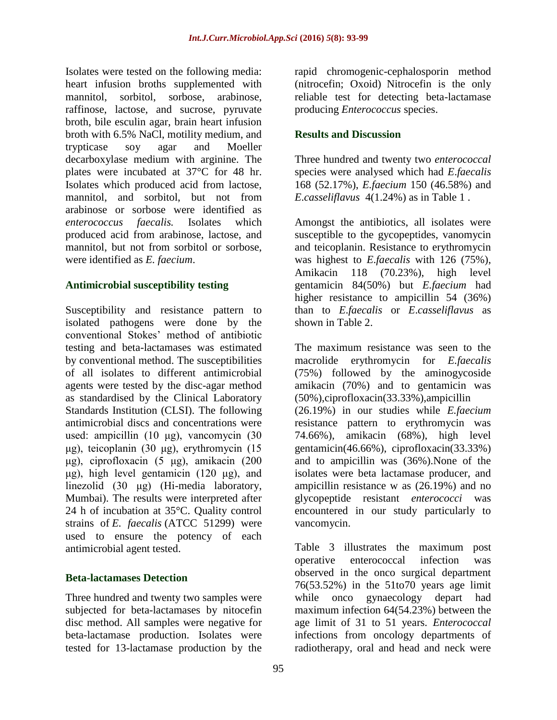Isolates were tested on the following media: heart infusion broths supplemented with mannitol, sorbitol, sorbose, arabinose, raffinose, lactose, and sucrose, pyruvate broth, bile esculin agar, brain heart infusion broth with 6.5% NaCl, motility medium, and trypticase soy agar and Moeller decarboxylase medium with arginine. The plates were incubated at 37°C for 48 hr. Isolates which produced acid from lactose, mannitol, and sorbitol, but not from arabinose or sorbose were identified as *enterococcus faecalis.* Isolates which produced acid from arabinose, lactose, and mannitol, but not from sorbitol or sorbose, were identified as *E. faecium*.

#### **Antimicrobial susceptibility testing**

Susceptibility and resistance pattern to isolated pathogens were done by the conventional Stokes' method of antibiotic testing and beta-lactamases was estimated by conventional method. The susceptibilities of all isolates to different antimicrobial agents were tested by the disc-agar method as standardised by the Clinical Laboratory Standards Institution (CLSI). The following antimicrobial discs and concentrations were used: ampicillin (10 μg), vancomycin (30 μg), teicoplanin (30 μg), erythromycin (15 μg), ciprofloxacin (5 μg), amikacin (200 μg), high level gentamicin (120 μg), and linezolid (30 μg) (Hi-media laboratory, Mumbai). The results were interpreted after 24 h of incubation at 35°C. Quality control strains of *E. faecalis* (ATCC 51299) were used to ensure the potency of each antimicrobial agent tested.

#### **Beta-lactamases Detection**

Three hundred and twenty two samples were subjected for beta-lactamases by nitocefin disc method. All samples were negative for beta-lactamase production. Isolates were tested for 13-lactamase production by the

rapid chromogenic-cephalosporin method (nitrocefin; Oxoid) Nitrocefin is the only reliable test for detecting beta-lactamase producing *Enterococcus* species.

## **Results and Discussion**

Three hundred and twenty two *enterococcal*  species were analysed which had *E*.*faecalis* 168 (52.17%), *E.faecium* 150 (46.58%) and *E*.*casseliflavus* 4(1.24%) as in Table 1 .

Amongst the antibiotics, all isolates were susceptible to the gycopeptides, vanomycin and teicoplanin. Resistance to erythromycin was highest to *E*.*faecalis* with 126 (75%), Amikacin 118 (70.23%), high level gentamicin 84(50%) but *E.faecium* had higher resistance to ampicillin 54 (36%) than to *E*.*faecalis* or *E*.*casseliflavus* as shown in Table 2.

The maximum resistance was seen to the macrolide erythromycin for *E.faecalis* (75%) followed by the aminogycoside amikacin (70%) and to gentamicin was (50%),ciprofloxacin(33.33%),ampicillin (26.19%) in our studies while *E.faecium* resistance pattern to erythromycin was 74.66%), amikacin (68%), high level gentamicin(46.66%), ciprofloxacin(33.33%) and to ampicillin was (36%).None of the isolates were beta lactamase producer, and ampicillin resistance w as (26.19%) and no glycopeptide resistant *enterococci* was encountered in our study particularly to vancomycin.

Table 3 illustrates the maximum post operative enterococcal infection was observed in the onco surgical department 76(53.52%) in the 51to70 years age limit while onco gynaecology depart had maximum infection 64(54.23%) between the age limit of 31 to 51 years. *Enterococcal* infections from oncology departments of radiotherapy, oral and head and neck were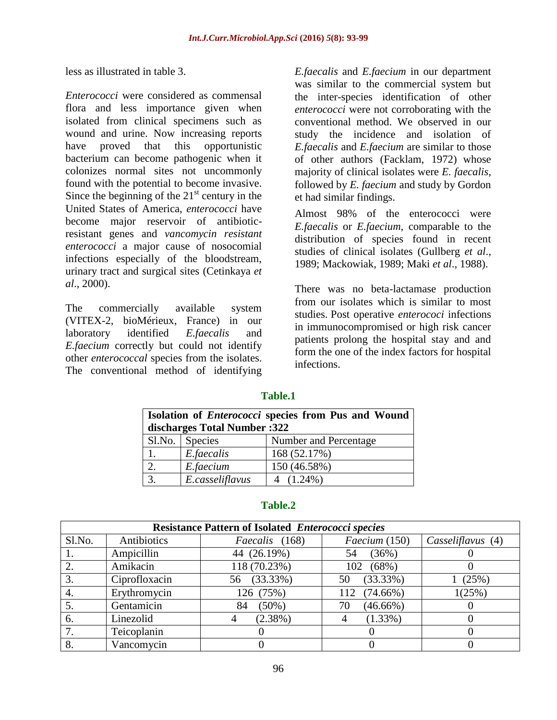less as illustrated in table 3.

*Enterococci* were considered as commensal flora and less importance given when isolated from clinical specimens such as wound and urine. Now increasing reports have proved that this opportunistic bacterium can become pathogenic when it colonizes normal sites not uncommonly found with the potential to become invasive. Since the beginning of the  $21<sup>st</sup>$  century in the United States of America, *enterococci* have become major reservoir of antibioticresistant genes and *vancomycin resistant enterococci* a major cause of nosocomial infections especially of the bloodstream, urinary tract and surgical sites (Cetinkaya *et al*., 2000).

The commercially available system (VITEX-2, bioMérieux, France) in our laboratory identified *E.faecalis* and *E.faecium* correctly but could not identify other *enterococcal* species from the isolates. The conventional method of identifying

*E.faecalis* and *E.faecium* in our department was similar to the commercial system but the inter-species identification of other *enterococci* were not corroborating with the conventional method. We observed in our study the incidence and isolation of *E.faecalis* and *E.faecium* are similar to those of other authors (Facklam, 1972) whose majority of clinical isolates were *E. faecalis*, followed by *E. faecium* and study by Gordon et had similar findings.

Almost 98% of the enterococci were *E.faecalis* or *E.faecium*, comparable to the distribution of species found in recent studies of clinical isolates (Gullberg *et al*., 1989; Mackowiak, 1989; Maki *et al*., 1988).

There was no beta-lactamase production from our isolates which is similar to most studies. Post operative *enterococi* infections in immunocompromised or high risk cancer patients prolong the hospital stay and and form the one of the index factors for hospital infections.

# **Table.1**

| <b>Isolation of <i>Enterococci</i></b> species from Pus and Wound<br>discharges Total Number :322 |                 |                       |  |  |  |
|---------------------------------------------------------------------------------------------------|-----------------|-----------------------|--|--|--|
|                                                                                                   | Sl.No. Species  | Number and Percentage |  |  |  |
| 1.                                                                                                | E.faecalis      | 168 (52.17%)          |  |  |  |
| 2.                                                                                                | E.faecium       | 150 (46.58%)          |  |  |  |
|                                                                                                   | E.casseliflavus | 4 $(1.24\%)$          |  |  |  |

#### **Table.2**

| <b>Resistance Pattern of Isolated Enterococci species</b> |               |                                 |                    |                   |  |  |  |  |
|-----------------------------------------------------------|---------------|---------------------------------|--------------------|-------------------|--|--|--|--|
| Sl.No.                                                    | Antibiotics   | Faecium (150)<br>Faecalis (168) |                    | Casseliflavus (4) |  |  |  |  |
|                                                           | Ampicillin    | 44 (26.19%)                     | (36%)<br>54        |                   |  |  |  |  |
|                                                           | Amikacin      | 118 (70.23%)                    | $(68\%)$<br>102    |                   |  |  |  |  |
| 3.                                                        | Ciprofloxacin | $(33.33\%)$<br>56               | (33.33%)<br>50     | (25%)             |  |  |  |  |
| 4.                                                        | Erythromycin  | 126 (75%)                       | $(74.66\%)$<br>112 | 1(25%)            |  |  |  |  |
|                                                           | Gentamicin    | $(50\%)$<br>84                  | $(46.66\%)$<br>70  |                   |  |  |  |  |
| 6.                                                        | Linezolid     | $(2.38\%)$                      | $(1.33\%)$         |                   |  |  |  |  |
|                                                           | Teicoplanin   |                                 |                    |                   |  |  |  |  |
| 8.                                                        | Vancomycin    |                                 |                    |                   |  |  |  |  |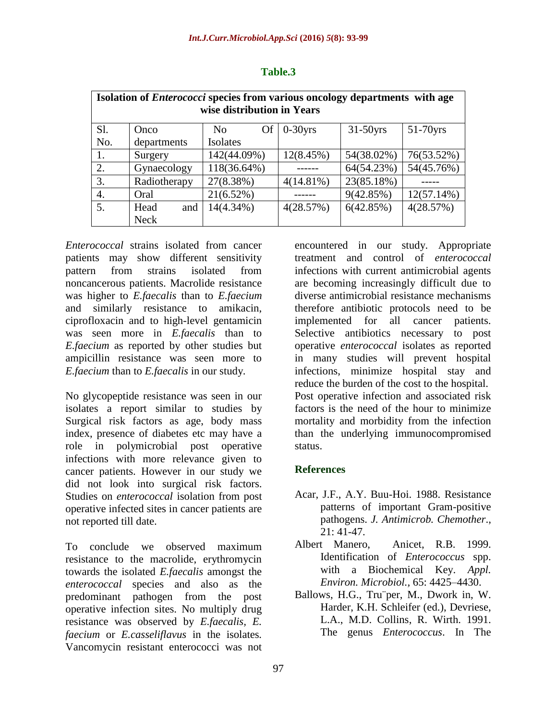| Isolation of <i>Enterococci</i> species from various oncology departments with age<br>wise distribution in Years |              |                 |              |             |               |  |  |  |
|------------------------------------------------------------------------------------------------------------------|--------------|-----------------|--------------|-------------|---------------|--|--|--|
| Sl.                                                                                                              | Onco         | <b>Of</b><br>No | $0-30$ yrs   | $31-50$ yrs | $51-70$ yrs   |  |  |  |
| No.                                                                                                              | departments  | Isolates        |              |             |               |  |  |  |
| 1.                                                                                                               | Surgery      | 142(44.09%)     | 12(8.45%)    | 54(38.02%)  | 76(53.52%)    |  |  |  |
| 2.                                                                                                               | Gynaecology  | 118(36.64%)     |              | 64(54.23%)  | 54(45.76%)    |  |  |  |
| 3.                                                                                                               | Radiotherapy | 27(8.38%)       | $4(14.81\%)$ | 23(85.18%)  |               |  |  |  |
| 4.                                                                                                               | Oral         | 21(6.52%)       |              | 9(42.85%)   | $12(57.14\%)$ |  |  |  |
| 5.                                                                                                               | Head<br>and  | $14(4.34\%)$    | 4(28.57%)    | 6(42.85%)   | 4(28.57%)     |  |  |  |
|                                                                                                                  | <b>Neck</b>  |                 |              |             |               |  |  |  |

*Enterococcal* strains isolated from cancer patients may show different sensitivity pattern from strains isolated from noncancerous patients. Macrolide resistance was higher to *E.faecalis* than to *E.faecium* and similarly resistance to amikacin, ciprofloxacin and to high-level gentamicin was seen more in *E.faecalis* than to *E.faecium* as reported by other studies but ampicillin resistance was seen more to *E.faecium* than to *E.faecalis* in our study.

No glycopeptide resistance was seen in our isolates a report similar to studies by Surgical risk factors as age, body mass index, presence of diabetes etc may have a role in polymicrobial post operative infections with more relevance given to cancer patients. However in our study we did not look into surgical risk factors. Studies on *enterococcal* isolation from post operative infected sites in cancer patients are not reported till date.

To conclude we observed maximum resistance to the macrolide, erythromycin towards the isolated *E.faecalis* amongst the *enterococcal* species and also as the predominant pathogen from the post operative infection sites. No multiply drug resistance was observed by *E.faecalis, E. faecium* or *E.casseliflavus* in the isolates*.*  Vancomycin resistant enterococci was not

encountered in our study. Appropriate treatment and control of *enterococcal* infections with current antimicrobial agents are becoming increasingly difficult due to diverse antimicrobial resistance mechanisms therefore antibiotic protocols need to be implemented for all cancer patients. Selective antibiotics necessary to post operative *enterococcal* isolates as reported in many studies will prevent hospital infections, minimize hospital stay and reduce the burden of the cost to the hospital. Post operative infection and associated risk factors is the need of the hour to minimize mortality and morbidity from the infection than the underlying immunocompromised status.

## **References**

- Acar, J.F., A.Y. Buu-Hoi. 1988. Resistance patterns of important Gram-positive pathogens. *J. Antimicrob. Chemother*.,  $21:41-47$ .
- Albert Manero, Anicet, R.B. 1999. Identification of *Enterococcus* spp. with a Biochemical Key. *Appl. Environ. Microbiol.,* 65: 4425–4430.
- Ballows, H.G., Tru¨per, M., Dwork in, W. Harder, K.H. Schleifer (ed.), Devriese, L.A., M.D. Collins, R. Wirth. 1991. The genus *Enterococcus*. In The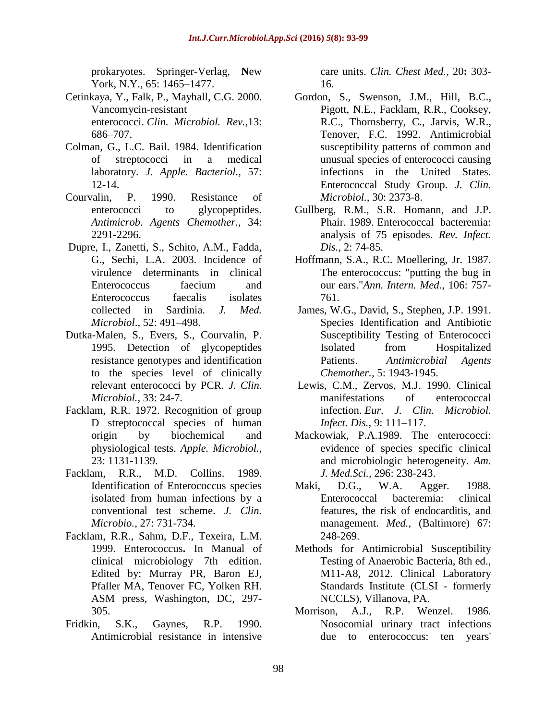prokaryotes. Springer-Verlag, **N**ew York, N.Y., 65: 1465–1477.

- Cetinkaya, Y., Falk, P., Mayhall, C.G. 2000. Vancomycin-resistant enterococci. *Clin. Microbiol. Rev.,*13: 686–707.
- Colman, G., L.C. Bail. 1984. Identification of streptococci in a medical laboratory. *J. Apple. Bacteriol.,* 57: 12-14.
- Courvalin, P. 1990. Resistance of enterococci to glycopeptides. *Antimicrob. Agents Chemother.,* 34: 2291-2296.
- Dupre, I., Zanetti, S., Schito, A.M., Fadda, G., Sechi, L.A. 2003. Incidence of virulence determinants in clinical Enterococcus faecium and Enterococcus faecalis isolates collected in Sardinia. *J. Med. Microbiol*., 52: 491–498.
- Dutka-Malen, S., Evers, S., Courvalin, P. 1995. Detection of glycopeptides resistance genotypes and identification to the species level of clinically relevant enterococci by PCR. *J. Clin. Microbiol.,* 33: 24-7.
- Facklam, R.R. 1972. Recognition of group D streptococcal species of human origin by biochemical and physiological tests. *Apple. Microbiol.,*  23: 1131-1139.
- Facklam, R.R., M.D. Collins. 1989. Identification of Enterococcus species isolated from human infections by a conventional test scheme. *J. Clin. Microbio.,* 27: 731-734.
- Facklam, R.R., Sahm, D.F., Texeira, L.M. 1999. Enterococcus**.** In Manual of clinical microbiology 7th edition. Edited by: Murray PR, Baron EJ, Pfaller MA, Tenover FC, Yolken RH. ASM press, Washington, DC, 297- 305.
- Fridkin, S.K., Gaynes, R.P. 1990. Antimicrobial resistance in intensive

care units. *Clin. Chest Med.,* 20**:** 303- 16.

- Gordon, S., Swenson, J.M., Hill, B.C., Pigott, N.E., Facklam, R.R., Cooksey, R.C., Thornsberry, C., Jarvis, W.R., Tenover, F.C. 1992. Antimicrobial susceptibility patterns of common and unusual species of enterococci causing infections in the United States. Enterococcal Study Group. *J. Clin. Microbiol.,* 30: 2373-8.
- Gullberg, R.M., S.R. Homann, and J.P. Phair. 1989. Enterococcal bacteremia: analysis of 75 episodes. *Rev. Infect. Dis.,* 2: 74-85.
- Hoffmann, S.A., R.C. Moellering, Jr. 1987. The enterococcus: "putting the bug in our ears."*Ann. Intern. Med.*, 106: 757- 761.
- James, W.G., David, S., Stephen, J.P. 1991. Species Identification and Antibiotic Susceptibility Testing of Enterococci Isolated from Hospitalized Patients. *Antimicrobial Agents Chemother.,* 5: 1943-1945.
- Lewis, C.M., Zervos, M.J. 1990. Clinical manifestations of enterococcal infection. *Eur. J. Clin. Microbiol. Infect. Dis.,* 9: 111–117.
- Mackowiak, P.A.1989. The enterococci: evidence of species specific clinical and microbiologic heterogeneity. *Am. J. Med.Sci.,* 296: 238-243.
- Maki, D.G., W.A. Agger. 1988. Enterococcal bacteremia: clinical features, the risk of endocarditis, and management. *Med.,* (Baltimore) 67: 248-269.
- Methods for Antimicrobial Susceptibility Testing of Anaerobic Bacteria, 8th ed., M11-A8, 2012. Clinical Laboratory Standards Institute (CLSI - formerly NCCLS), Villanova, PA.
- Morrison, A.J., R.P. Wenzel. 1986. Nosocomial urinary tract infections due to enterococcus: ten years'